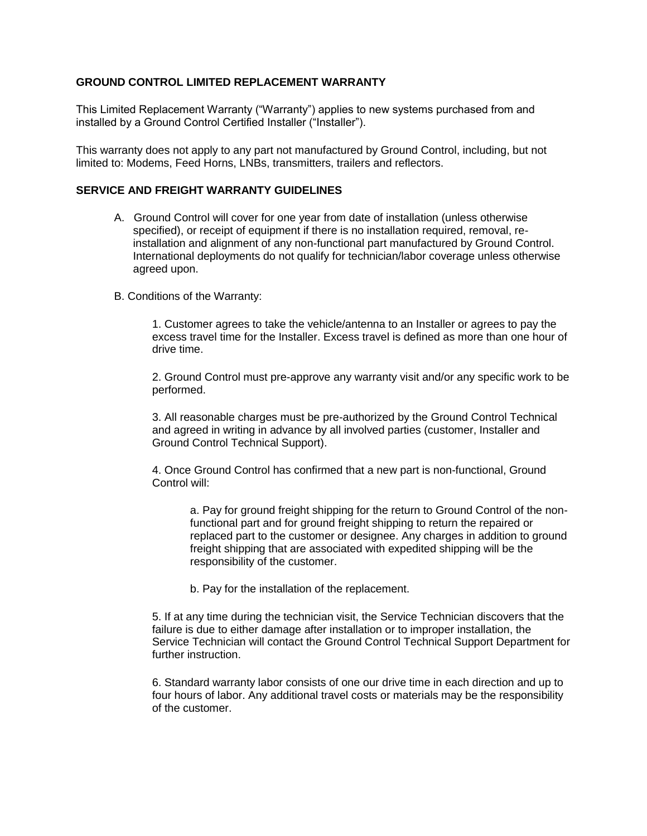#### **GROUND CONTROL LIMITED REPLACEMENT WARRANTY**

This Limited Replacement Warranty ("Warranty") applies to new systems purchased from and installed by a Ground Control Certified Installer ("Installer").

This warranty does not apply to any part not manufactured by Ground Control, including, but not limited to: Modems, Feed Horns, LNBs, transmitters, trailers and reflectors.

#### **SERVICE AND FREIGHT WARRANTY GUIDELINES**

- A. Ground Control will cover for one year from date of installation (unless otherwise specified), or receipt of equipment if there is no installation required, removal, reinstallation and alignment of any non-functional part manufactured by Ground Control. International deployments do not qualify for technician/labor coverage unless otherwise agreed upon.
- B. Conditions of the Warranty:

1. Customer agrees to take the vehicle/antenna to an Installer or agrees to pay the excess travel time for the Installer. Excess travel is defined as more than one hour of drive time.

2. Ground Control must pre-approve any warranty visit and/or any specific work to be performed.

3. All reasonable charges must be pre-authorized by the Ground Control Technical and agreed in writing in advance by all involved parties (customer, Installer and Ground Control Technical Support).

4. Once Ground Control has confirmed that a new part is non-functional, Ground Control will:

a. Pay for ground freight shipping for the return to Ground Control of the nonfunctional part and for ground freight shipping to return the repaired or replaced part to the customer or designee. Any charges in addition to ground freight shipping that are associated with expedited shipping will be the responsibility of the customer.

b. Pay for the installation of the replacement.

5. If at any time during the technician visit, the Service Technician discovers that the failure is due to either damage after installation or to improper installation, the Service Technician will contact the Ground Control Technical Support Department for further instruction.

6. Standard warranty labor consists of one our drive time in each direction and up to four hours of labor. Any additional travel costs or materials may be the responsibility of the customer.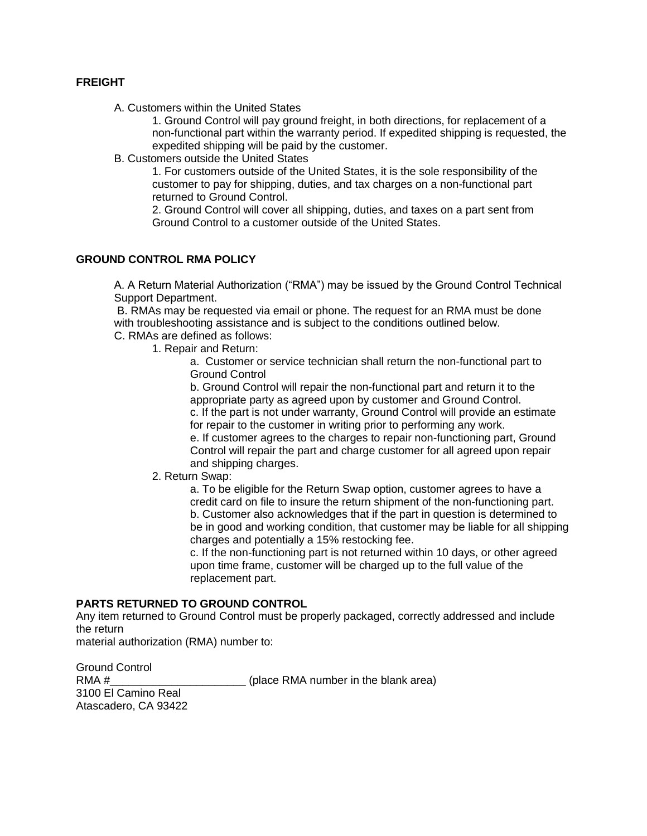# **FREIGHT**

A. Customers within the United States

1. Ground Control will pay ground freight, in both directions, for replacement of a non-functional part within the warranty period. If expedited shipping is requested, the expedited shipping will be paid by the customer.

B. Customers outside the United States

1. For customers outside of the United States, it is the sole responsibility of the customer to pay for shipping, duties, and tax charges on a non-functional part returned to Ground Control.

2. Ground Control will cover all shipping, duties, and taxes on a part sent from Ground Control to a customer outside of the United States.

## **GROUND CONTROL RMA POLICY**

A. A Return Material Authorization ("RMA") may be issued by the Ground Control Technical Support Department.

B. RMAs may be requested via email or phone. The request for an RMA must be done with troubleshooting assistance and is subject to the conditions outlined below. C. RMAs are defined as follows:

1. Repair and Return:

a. Customer or service technician shall return the non-functional part to Ground Control

b. Ground Control will repair the non-functional part and return it to the appropriate party as agreed upon by customer and Ground Control. c. If the part is not under warranty, Ground Control will provide an estimate for repair to the customer in writing prior to performing any work. e. If customer agrees to the charges to repair non-functioning part, Ground

Control will repair the part and charge customer for all agreed upon repair and shipping charges.

## 2. Return Swap:

a. To be eligible for the Return Swap option, customer agrees to have a credit card on file to insure the return shipment of the non-functioning part. b. Customer also acknowledges that if the part in question is determined to be in good and working condition, that customer may be liable for all shipping charges and potentially a 15% restocking fee.

c. If the non-functioning part is not returned within 10 days, or other agreed upon time frame, customer will be charged up to the full value of the replacement part.

# **PARTS RETURNED TO GROUND CONTROL**

Any item returned to Ground Control must be properly packaged, correctly addressed and include the return

material authorization (RMA) number to:

| <b>Ground Control</b> |                                      |
|-----------------------|--------------------------------------|
| RMA#                  | (place RMA number in the blank area) |
| 3100 El Camino Real   |                                      |
| Atascadero, CA 93422  |                                      |